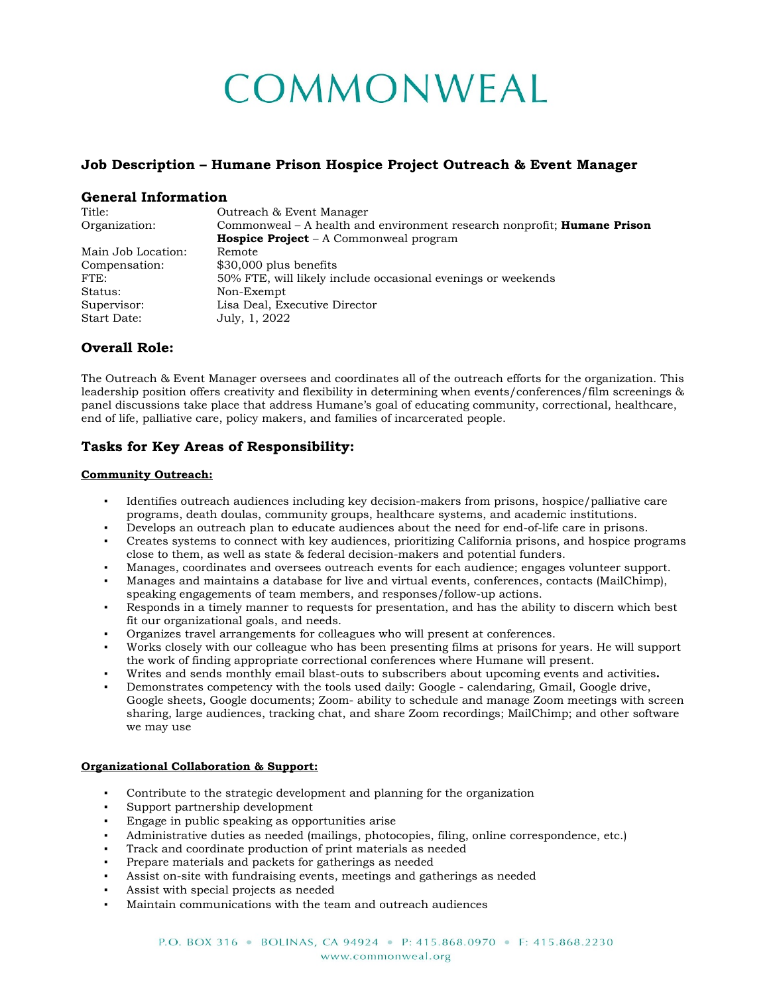# COMMONWEAL

## **Job Description – Humane Prison Hospice Project Outreach & Event Manager**

## **General Information**

| Title:             | Outreach & Event Manager                                                       |
|--------------------|--------------------------------------------------------------------------------|
| Organization:      | Commonweal – A health and environment research nonprofit: <b>Humane Prison</b> |
|                    | <b>Hospice Project</b> – A Commonweal program                                  |
| Main Job Location: | Remote                                                                         |
| Compensation:      | \$30,000 plus benefits                                                         |
| FTE:               | 50% FTE, will likely include occasional evenings or weekends                   |
| Status:            | Non-Exempt                                                                     |
| Supervisor:        | Lisa Deal, Executive Director                                                  |
| Start Date:        | July, 1, 2022                                                                  |

## **Overall Role:**

The Outreach & Event Manager oversees and coordinates all of the outreach efforts for the organization. This leadership position offers creativity and flexibility in determining when events/conferences/film screenings & panel discussions take place that address Humane's goal of educating community, correctional, healthcare, end of life, palliative care, policy makers, and families of incarcerated people.

## **Tasks for Key Areas of Responsibility:**

#### **Community Outreach:**

- Identifies outreach audiences including key decision-makers from prisons, hospice/palliative care programs, death doulas, community groups, healthcare systems, and academic institutions.
- Develops an outreach plan to educate audiences about the need for end-of-life care in prisons.
- Creates systems to connect with key audiences, prioritizing California prisons, and hospice programs close to them, as well as state & federal decision-makers and potential funders.
- Manages, coordinates and oversees outreach events for each audience; engages volunteer support.
- Manages and maintains a database for live and virtual events, conferences, contacts (MailChimp), speaking engagements of team members, and responses/follow-up actions.
- Responds in a timely manner to requests for presentation, and has the ability to discern which best fit our organizational goals, and needs.
- Organizes travel arrangements for colleagues who will present at conferences.
- Works closely with our colleague who has been presenting films at prisons for years. He will support the work of finding appropriate correctional conferences where Humane will present.
- **▪** Writes and sends monthly email blast-outs to subscribers about upcoming events and activities**.**
- Demonstrates competency with the tools used daily: Google calendaring, Gmail, Google drive, Google sheets, Google documents; Zoom- ability to schedule and manage Zoom meetings with screen sharing, large audiences, tracking chat, and share Zoom recordings; MailChimp; and other software we may use

#### **Organizational Collaboration & Support:**

- Contribute to the strategic development and planning for the organization
- Support partnership development
- Engage in public speaking as opportunities arise
- Administrative duties as needed (mailings, photocopies, filing, online correspondence, etc.)
- Track and coordinate production of print materials as needed
- Prepare materials and packets for gatherings as needed
- Assist on-site with fundraising events, meetings and gatherings as needed
- Assist with special projects as needed
- Maintain communications with the team and outreach audiences